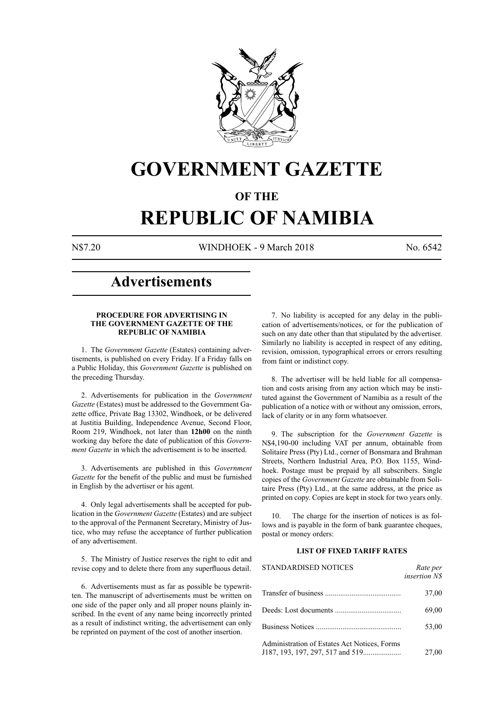

# **GOVERNMENT GAZETTE**

# **OF THE**

# **REPUBLIC OF NAMIBIA**

N\$7.20 WINDHOEK - 9 March 2018 No. 6542

# **Advertisements**

# **PROCEDURE FOR ADVERTISING IN THE GOVERNMENT GAZETTE OF THE REPUBLIC OF NAMIBIA**

1. The *Government Gazette* (Estates) containing advertisements, is published on every Friday. If a Friday falls on a Public Holiday, this *Government Gazette* is published on the preceding Thursday.

2. Advertisements for publication in the *Government Gazette* (Estates) must be addressed to the Government Gazette office, Private Bag 13302, Windhoek, or be delivered at Justitia Building, Independence Avenue, Second Floor, Room 219, Windhoek, not later than **12h00** on the ninth working day before the date of publication of this *Government Gazette* in which the advertisement is to be inserted.

3. Advertisements are published in this *Government Gazette* for the benefit of the public and must be furnished in English by the advertiser or his agent.

4. Only legal advertisements shall be accepted for publication in the *Government Gazette* (Estates) and are subject to the approval of the Permanent Secretary, Ministry of Justice, who may refuse the acceptance of further publication of any advertisement.

5. The Ministry of Justice reserves the right to edit and revise copy and to delete there from any superfluous detail.

6. Advertisements must as far as possible be typewritten. The manuscript of advertisements must be written on one side of the paper only and all proper nouns plainly inscribed. In the event of any name being incorrectly printed as a result of indistinct writing, the advertisement can only be reprinted on payment of the cost of another insertion.

7. No liability is accepted for any delay in the publication of advertisements/notices, or for the publication of such on any date other than that stipulated by the advertiser. Similarly no liability is accepted in respect of any editing, revision, omission, typographical errors or errors resulting from faint or indistinct copy.

8. The advertiser will be held liable for all compensation and costs arising from any action which may be instituted against the Government of Namibia as a result of the publication of a notice with or without any omission, errors, lack of clarity or in any form whatsoever.

9. The subscription for the *Government Gazette* is N\$4,190-00 including VAT per annum, obtainable from Solitaire Press (Pty) Ltd., corner of Bonsmara and Brahman Streets, Northern Industrial Area, P.O. Box 1155, Windhoek. Postage must be prepaid by all subscribers. Single copies of the *Government Gazette* are obtainable from Solitaire Press (Pty) Ltd., at the same address, at the price as printed on copy. Copies are kept in stock for two years only.

10. The charge for the insertion of notices is as follows and is payable in the form of bank guarantee cheques, postal or money orders:

# **LIST OF FIXED TARIFF RATES**

| <b>STANDARDISED NOTICES</b>                  | Rate per<br><i>insertion NS</i> |
|----------------------------------------------|---------------------------------|
|                                              | 37,00                           |
|                                              | 69,00                           |
|                                              | 53,00                           |
| Administration of Estates Act Notices, Forms | 27,00                           |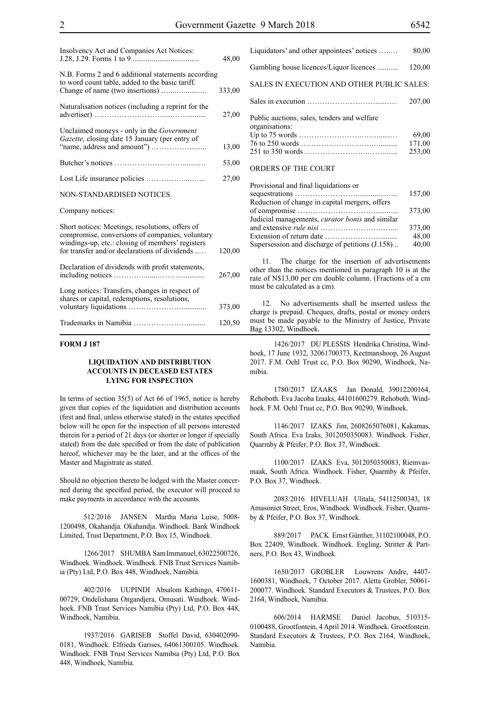| Insolvency Act and Companies Act Notices:                                                                                                                                                               | 48,00  |
|---------------------------------------------------------------------------------------------------------------------------------------------------------------------------------------------------------|--------|
| N.B. Forms 2 and 6 additional statements according<br>to word count table, added to the basic tariff.                                                                                                   | 333,00 |
| Naturalisation notices (including a reprint for the                                                                                                                                                     | 27,00  |
| Unclaimed moneys - only in the <i>Government</i><br>Gazette, closing date 15 January (per entry of                                                                                                      | 13,00  |
|                                                                                                                                                                                                         | 53,00  |
|                                                                                                                                                                                                         | 27,00  |
| NON-STANDARDISED NOTICES                                                                                                                                                                                |        |
| Company notices:                                                                                                                                                                                        |        |
| Short notices: Meetings, resolutions, offers of<br>compromise, conversions of companies, voluntary<br>windings-up, etc.: closing of members' registers<br>for transfer and/or declarations of dividends | 120,00 |
| Declaration of dividends with profit statements,                                                                                                                                                        | 267,00 |
| Long notices: Transfers, changes in respect of<br>shares or capital, redemptions, resolutions,                                                                                                          | 373,00 |
|                                                                                                                                                                                                         | 120,50 |

# **FORM J 187**

# **LIQUIDATION AND DISTRIBUTION ACCOUNTS IN DECEASED ESTATES LYING FOR INSPECTION**

In terms of section 35(5) of Act 66 of 1965, notice is hereby given that copies of the liquidation and distribution accounts (first and final, unless otherwise stated) in the estates specified below will be open for the inspection of all persons interested therein for a period of 21 days (or shorter or longer if specially stated) from the date specified or from the date of publication hereof, whichever may be the later, and at the offices of the Master and Magistrate as stated.

Should no objection thereto be lodged with the Master concerned during the specified period, the executor will proceed to make payments in accordance with the accounts.

512/2016 JANSEN Martha Maria Luise, 5008- 1200498, Okahandja. Okahandja. Windhoek. Bank Windhoek Limited, Trust Department, P.O. Box 15, Windhoek.

1266/2017 SHUMBA Sam Immanuel, 63022500726, Windhoek. Windhoek. Windhoek. FNB Trust Services Namibia (Pty) Ltd, P.O. Box 448, Windhoek, Namibia.

402/2016 UUPINDI Absalom Kathingo, 470611- 00729, Ondelishana Ongandjera, Omusati. Windhoek. Windhoek. FNB Trust Services Namibia (Pty) Ltd, P.O. Box 448, Windhoek, Namibia.

1937/2016 GARISEB Stoffel David, 630402090- 0181, Windhoek. Elfrieda Garises, 64061300105. Windhoek. Windhoek. FNB Trust Services Namibia (Pty) Ltd, P.O. Box 448, Windhoek, Namibia.

| Liquidators' and other appointees' notices                    | 80,00                     |
|---------------------------------------------------------------|---------------------------|
| Gambling house licences/Liquor licences                       | 120,00                    |
| SALES IN EXECUTION AND OTHER PUBLIC SALES:                    |                           |
|                                                               | 207,00                    |
| Public auctions, sales, tenders and welfare<br>organisations: | 69,00<br>171,00<br>253,00 |
| ORDERS OF THE COURT                                           |                           |

| Provisional and final liquidations or                  |        |
|--------------------------------------------------------|--------|
|                                                        | 157,00 |
| Reduction of change in capital mergers, offers         |        |
|                                                        | 373,00 |
| Judicial managements, <i>curator bonis</i> and similar |        |
|                                                        | 373,00 |
|                                                        | 48,00  |
| Supersession and discharge of petitions (J.158)        | 40,00  |

11. The charge for the insertion of advertisements other than the notices mentioned in paragraph 10 is at the rate of N\$13,00 per cm double column. (Fractions of a cm must be calculated as a cm).

12. No advertisements shall be inserted unless the charge is prepaid. Cheques, drafts, postal or money orders must be made payable to the Ministry of Justice, Private Bag 13302, Windhoek.

1426/2017 DU PLESSIS Hendrika Christina, Windhoek, 17 June 1932, 32061700373, Keetmanshoop, 26 August 2017. F.M. Oehl Trust cc, P.O. Box 90290, Windhoek, Namibia.

1780/2017 IZAAKS Jan Donald, 39012200164, Rehoboth. Eva Jacoba Izaaks, 44101600279. Rehoboth. Windhoek. F.M. Oehl Trust cc, P.O. Box 90290, Windhoek.

1146/2017 IZAKS Jim, 2608265076081, Kakamas, South Africa. Eva Izaks, 3012050350083. Windhoek. Fisher, Quarmby & Pfeifer, P.O. Box 37, Windhoek.

1100/2017 IZAKS Eva, 3012050350083, Riemvasmaak, South Africa. Windhoek. Fisher, Quarmby & Pfeifer, P.O. Box 37, Windhoek.

2083/2016 HIVELUAH Ulitala, 54112500343, 18 Amasoniet Street, Eros, Windhoek. Windhoek. Fisher, Quarmby & Pfeifer, P.O. Box 37, Windhoek.

889/2017 PACK Ernst Günther, 31102100048, P.O. Box 22409, Windhoek. Windhoek. Engling, Stritter & Partners, P.O. Box 43, Windhoek.

1650/2017 GROBLER Louwrens Andre, 4407- 1600381, Windhoek, 7 October 2017. Aletta Grobler, 50061- 200077. Windhoek. Standard Executors & Trustees, P.O. Box 2164, Windhoek, Namibia.

606/2014 HARMSE Daniel Jacobus, 510315- 0100488, Grootfontein, 4 April 2014. Windhoek. Grootfontein. Standard Executors & Trustees, P.O. Box 2164, Windhoek, Namibia.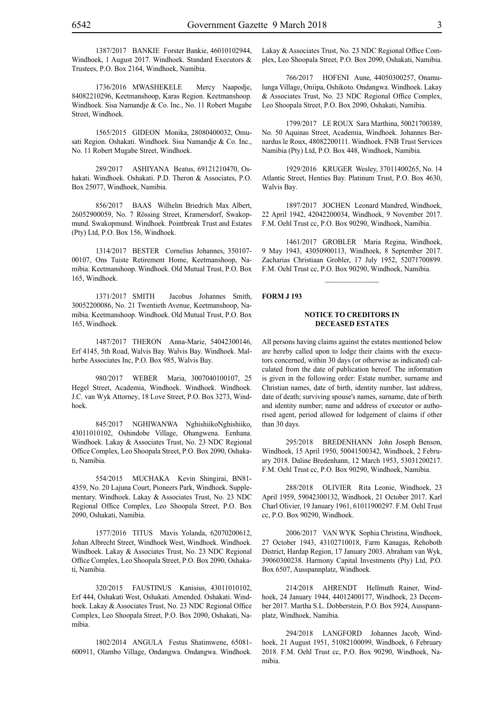1387/2017 BANKIE Forster Bankie, 46010102944, Windhoek, 1 August 2017. Windhoek. Standard Executors & Trustees, P.O. Box 2164, Windhoek, Namibia.

1736/2016 MWASHEKELE Mercy Naapodje, 84082210296, Keetmanshoop, Karas Region. Keetmanshoop. Windhoek. Sisa Namandje & Co. Inc., No. 11 Robert Mugabe Street, Windhoek.

1565/2015 GIDEON Monika, 28080400032, Omusati Region. Oshakati. Windhoek. Sisa Namandje & Co. Inc., No. 11 Robert Mugabe Street, Windhoek.

289/2017 ASHIYANA Beatus, 69121210470, Oshakati. Windhoek. Oshakati. P.D. Theron & Associates, P.O. Box 25077, Windhoek, Namibia.

856/2017 BAAS Wilhelm Briedrich Max Albert, 26052900059, No. 7 Rössing Street, Kramersdorf, Swakopmund. Swakopmund. Windhoek. Pointbreak Trust and Estates (Pty) Ltd, P.O. Box 156, Windhoek.

1314/2017 BESTER Cornelius Johannes, 350107- 00107, Ons Tuiste Retirement Home, Keetmanshoop, Namibia. Keetmanshoop. Windhoek. Old Mutual Trust, P.O. Box 165, Windhoek.

1371/2017 SMITH Jacobus Johannes Smith, 30052200086, No. 21 Twentieth Avenue, Keetmanshoop, Namibia. Keetmanshoop. Windhoek. Old Mutual Trust, P.O. Box 165, Windhoek.

1487/2017 THERON Anna-Marie, 54042300146, Erf 4145, 5th Road, Walvis Bay. Walvis Bay. Windhoek. Malherbe Associates Inc, P.O. Box 985, Walvis Bay.

980/2017 WEBER Maria, 3007040100107, 25 Hegel Street, Academia, Windhoek. Windhoek. Windhoek. J.C. van Wyk Attorney, 18 Love Street, P.O. Box 3273, Windhoek.

845/2017 NGHIWANWA NghishiikoNghishiiko, 43011010102, Oshindobe Village, Ohangwena. Eenhana. Windhoek. Lakay & Associates Trust, No. 23 NDC Regional Office Complex, Leo Shoopala Street, P.O. Box 2090, Oshakati, Namibia.

554/2015 MUCHAKA Kevin Shingirai, BN81- 4359, No. 20 Lajuna Court, Pioneers Park, Windhoek. Supplementary. Windhoek. Lakay & Associates Trust, No. 23 NDC Regional Office Complex, Leo Shoopala Street, P.O. Box 2090, Oshakati, Namibia.

1577/2016 TITUS Mavis Yolanda, 62070200612, Johan Albrecht Street, Windhoek West, Windhoek. Windhoek. Windhoek. Lakay & Associates Trust, No. 23 NDC Regional Office Complex, Leo Shoopala Street, P.O. Box 2090, Oshakati, Namibia.

320/2015 FAUSTINUS Kanisius, 43011010102, Erf 444, Oshakati West, Oshakati. Amended. Oshakati. Windhoek. Lakay & Associates Trust, No. 23 NDC Regional Office Complex, Leo Shoopala Street, P.O. Box 2090, Oshakati, Namibia.

1802/2014 ANGULA Festus Shatimwene, 65081- 600911, Olambo Village, Ondangwa. Ondangwa. Windhoek. Lakay & Associates Trust, No. 23 NDC Regional Office Complex, Leo Shoopala Street, P.O. Box 2090, Oshakati, Namibia.

766/2017 HOFENI Aune, 44050300257, Onamulunga Village, Oniipa, Oshikoto. Ondangwa. Windhoek. Lakay & Associates Trust, No. 23 NDC Regional Office Complex, Leo Shoopala Street, P.O. Box 2090, Oshakati, Namibia.

1799/2017 LE ROUX Sara Marthina, 50021700389, No. 50 Aquinas Street, Academia, Windhoek. Johannes Bernardus le Roux, 48082200111. Windhoek. FNB Trust Services Namibia (Pty) Ltd, P.O. Box 448, Windhoek, Namibia.

1929/2016 KRUGER Wesley, 37011400265, No. 14 Atlantic Street, Henties Bay. Platinum Trust, P.O. Box 4630, Walvis Bay.

1897/2017 JOCHEN Leonard Mandred, Windhoek, 22 April 1942, 42042200034, Windhoek, 9 November 2017. F.M. Oehl Trust cc, P.O. Box 90290, Windhoek, Namibia.

1461/2017 GROBLER Maria Regina, Windhoek, 9 May 1943, 43050900113, Windhoek, 8 September 2017. Zacharias Christiaan Grobler, 17 July 1952, 52071700899. F.M. Oehl Trust cc, P.O. Box 90290, Windhoek, Namibia.

 $\frac{1}{2}$ 

# **FORM J 193**

#### **NOTICE TO CREDITORS IN DECEASED ESTATES**

All persons having claims against the estates mentioned below are hereby called upon to lodge their claims with the executors concerned, within 30 days (or otherwise as indicated) calculated from the date of publication hereof. The information is given in the following order: Estate number, surname and Christian names, date of birth, identity number, last address, date of death; surviving spouse's names, surname, date of birth and identity number; name and address of executor or authorised agent, period allowed for lodgement of claims if other than 30 days.

295/2018 BREDENHANN John Joseph Benson, Windhoek, 15 April 1950, 50041500342, Windhoek, 2 February 2018. Daline Bredenhann, 12 March 1953, 53031200217. F.M. Oehl Trust cc, P.O. Box 90290, Windhoek, Namibia.

288/2018 OLIVIER Rita Leonie, Windhoek, 23 April 1959, 59042300132, Windhoek, 21 October 2017. Karl Charl Olivier, 19 January 1961, 61011900297. F.M. Oehl Trust cc, P.O. Box 90290, Windhoek.

2006/2017 VAN WYK Sophia Christina, Windhoek, 27 October 1943, 43102710018, Farm Kanagas, Rehoboth District, Hardap Region, 17 January 2003. Abraham van Wyk, 39060300238. Harmony Capital Investments (Pty) Ltd, P.O. Box 6507, Ausspannplatz, Windhoek.

214/2018 AHRENDT Hellmuth Rainer, Windhoek, 24 January 1944, 44012400177, Windhoek, 23 December 2017. Martha S.L. Dobberstein, P.O. Box 5924, Ausspannplatz, Windhoek, Namibia.

294/2018 LANGFORD Johannes Jacob, Windhoek, 21 August 1951, 51082100099, Windhoek, 6 February 2018. F.M. Oehl Trust cc, P.O. Box 90290, Windhoek, Namibia.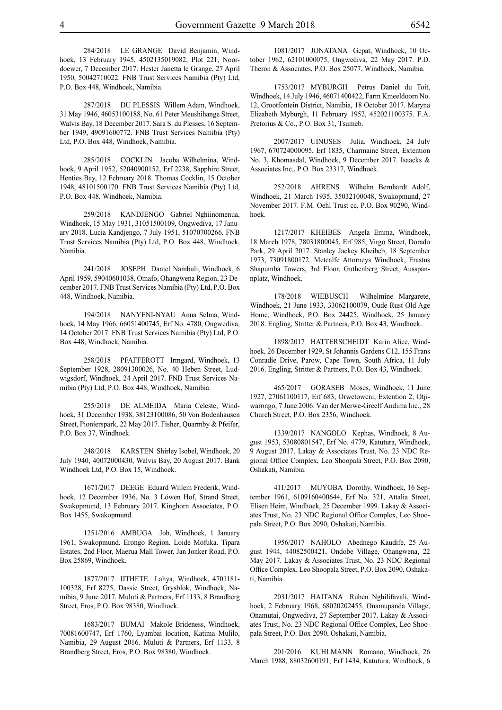284/2018 LE GRANGE David Benjamin, Windhoek, 13 February 1945, 4502135019082, Plot 221, Noordoewer, 7 December 2017. Hester Janetta le Grange, 27 April 1950, 50042710022. FNB Trust Services Namibia (Pty) Ltd, P.O. Box 448, Windhoek, Namibia.

287/2018 DU PLESSIS Willem Adam, Windhoek, 31 May 1946, 46053100188, No. 61 Peter Meushihange Street, Walvis Bay, 18 December 2017. Sara S. du Plesses, 16 September 1949, 49091600772. FNB Trust Services Namibia (Pty) Ltd, P.O. Box 448, Windhoek, Namibia.

285/2018 COCKLIN Jacoba Wilhelmina, Windhoek, 9 April 1952, 52040900152, Erf 2238, Sapphire Street, Henties Bay, 12 February 2018. Thomas Cocklin, 15 October 1948, 48101500170. FNB Trust Services Namibia (Pty) Ltd, P.O. Box 448, Windhoek, Namibia.

259/2018 KANDJENGO Gabriel Nghiinomenua, Windhoek, 15 May 1931, 31051500109, Ongwediva, 17 January 2018. Lucia Kandjengo, 7 July 1951, 51070700266. FNB Trust Services Namibia (Pty) Ltd, P.O. Box 448, Windhoek, Namibia.

241/2018 JOSEPH Daniel Nambuli, Windhoek, 6 April 1959, 59040601038, Omafo, Ohangwena Region, 23 December 2017. FNB Trust Services Namibia (Pty) Ltd, P.O. Box 448, Windhoek, Namibia.

194/2018 NANYENI-NYAU Anna Selma, Windhoek, 14 May 1966, 66051400745, Erf No. 4780, Ongwediva, 14 October 2017. FNB Trust Services Namibia (Pty) Ltd, P.O. Box 448, Windhoek, Namibia.

258/2018 PFAFFEROTT Irmgard, Windhoek, 13 September 1928, 28091300026, No. 40 Heben Street, Ludwigsdorf, Windhoek, 24 April 2017. FNB Trust Services Namibia (Pty) Ltd, P.O. Box 448, Windhoek, Namibia.

255/2018 DE ALMEIDA Maria Celeste, Windhoek, 31 December 1938, 38123100086, 50 Von Bodenhausen Street, Pionierspark, 22 May 2017. Fisher, Quarmby & Pfeifer, P.O. Box 37, Windhoek.

248/2018 KARSTEN Shirley Isobel, Windhoek, 20 July 1940, 40072000430, Walvis Bay, 20 August 2017. Bank Windhoek Ltd, P.O. Box 15, Windhoek.

1671/2017 DEEGE Eduard Willem Frederik, Windhoek, 12 December 1936, No. 3 Löwen Hof, Strand Street, Swakopmund, 13 February 2017. Kinghorn Associates, P.O. Box 1455, Swakopmund.

1251/2016 AMBUGA Job, Windhoek, 1 January 1961, Swakopmund. Erongo Region. Loide Mofuka. Tipara Estates, 2nd Floor, Maerua Mall Tower, Jan Jonker Road, P.O. Box 25869, Windhoek.

1877/2017 IITHETE Lahya, Windhoek, 4701181- 100328, Erf 8275, Dassie Street, Grysblok, Windhoek, Namibia, 9 June 2017. Muluti & Partners, Erf 1133, 8 Brandberg Street, Eros, P.O. Box 98380, Windhoek.

1683/2017 BUMAI Makole Brideness, Windhoek, 70081600747, Erf 1760, Lyambai location, Katima Mulilo, Namibia, 29 August 2016. Muluti & Partners, Erf 1133, 8 Brandberg Street, Eros, P.O. Box 98380, Windhoek.

1081/2017 JONATANA Gepat, Windhoek, 10 October 1962, 62101000075, Ongwediva, 22 May 2017. P.D. Theron & Associates, P.O. Box 25077, Windhoek, Namibia.

1753/2017 MYBURGH Petrus Daniel du Toit, Windhoek, 14 July 1946, 46071400422, Farm Kmeeldoorn No. 12, Grootfontein District, Namibia, 18 October 2017. Maryna Elizabeth Myburgh, 11 February 1952, 452021100375. F.A. Pretorius & Co., P.O. Box 31, Tsumeb.

2007/2017 UINUSES Julia, Windhoek, 24 July 1967, 670724000095, Erf 1835, Charmaine Street, Extention No. 3, Khomasdal, Windhoek, 9 December 2017. Isaacks & Associates Inc., P.O. Box 23317, Windhoek.

252/2018 AHRENS Wilhelm Bernhardt Adolf, Windhoek, 21 March 1935, 35032100048, Swakopmund, 27 November 2017. F.M. Oehl Trust cc, P.O. Box 90290, Windhoek.

1217/2017 KHEIBES Angela Emma, Windhoek, 18 March 1978, 78031800045, Erf 985, Virgo Street, Dorado Park, 29 April 2017. Stanley Jackey Kheibeb, 18 September 1973, 73091800172. Metcalfe Attorneys Windhoek, Erastus Shapumba Towers, 3rd Floor, Guthenberg Street, Ausspannplatz, Windhoek.

178/2018 WIEBUSCH Wilhelmine Margarete, Windhoek, 21 June 1933, 33062100079, Oude Rust Old Age Home, Windhoek, P.O. Box 24425, Windhoek, 25 January 2018. Engling, Stritter & Partners, P.O. Box 43, Windhoek.

1898/2017 HATTERSCHEIDT Karin Alice, Windhoek, 26 December 1929, St Johannis Gardens C12, 155 Frans Conradie Drive, Parow, Cape Town, South Africa, 11 July 2016. Engling, Stritter & Partners, P.O. Box 43, Windhoek.

465/2017 GORASEB Moses, Windhoek, 11 June 1927, 27061100117, Erf 683, Orwetoweni, Extention 2, Otjiwarongo, 7 June 2006. Van der Merwe-Greeff Andima Inc., 28 Church Street, P.O. Box 2356, Windhoek.

1339/2017 NANGOLO Kephas, Windhoek, 8 August 1953, 53080801547, Erf No. 4779, Katutura, Windhoek, 9 August 2017. Lakay & Associates Trust, No. 23 NDC Regional Office Complex, Leo Shoopala Street, P.O. Box 2090, Oshakati, Namibia.

411/2017 MUYOBA Dorothy, Windhoek, 16 September 1961, 6109160400644, Erf No. 321, Attalia Street, Elisen Heim, Windhoek, 25 December 1999. Lakay & Associates Trust, No. 23 NDC Regional Office Complex, Leo Shoopala Street, P.O. Box 2090, Oshakati, Namibia.

1956/2017 NAHOLO Abednego Kaudife, 25 August 1944, 44082500421, Ondobe Village, Ohangwena, 22 May 2017. Lakay & Associates Trust, No. 23 NDC Regional Office Complex, Leo Shoopala Street, P.O. Box 2090, Oshakati, Namibia.

2031/2017 HAITANA Ruben Nghilifavali, Windhoek, 2 February 1968, 68020202455, Onamupanda Village, Onamutai, Ongwediva, 27 September 2017. Lakay & Associates Trust, No. 23 NDC Regional Office Complex, Leo Shoopala Street, P.O. Box 2090, Oshakati, Namibia.

201/2016 KUHLMANN Romano, Windhoek, 26 March 1988, 88032600191, Erf 1434, Katutura, Windhoek, 6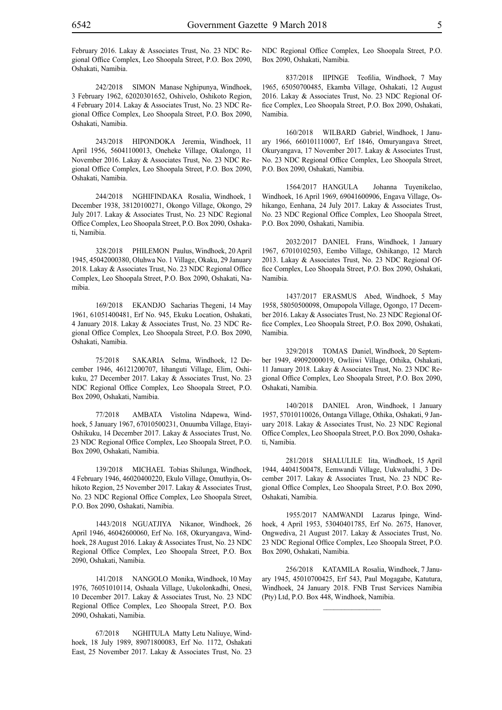February 2016. Lakay & Associates Trust, No. 23 NDC Regional Office Complex, Leo Shoopala Street, P.O. Box 2090, Oshakati, Namibia.

242/2018 SIMON Manase Nghipunya, Windhoek, 3 February 1962, 62020301652, Oshivelo, Oshikoto Region, 4 February 2014. Lakay & Associates Trust, No. 23 NDC Regional Office Complex, Leo Shoopala Street, P.O. Box 2090, Oshakati, Namibia.

243/2018 HIPONDOKA Jeremia, Windhoek, 11 April 1956, 56041100013, Oneheke Village, Okalongo, 11 November 2016. Lakay & Associates Trust, No. 23 NDC Regional Office Complex, Leo Shoopala Street, P.O. Box 2090, Oshakati, Namibia.

244/2018 NGHIFINDAKA Rosalia, Windhoek, 1 December 1938, 38120100271, Okongo Village, Okongo, 29 July 2017. Lakay & Associates Trust, No. 23 NDC Regional Office Complex, Leo Shoopala Street, P.O. Box 2090, Oshakati, Namibia.

328/2018 PHILEMON Paulus, Windhoek, 20 April 1945, 45042000380, Oluhwa No. 1 Village, Okaku, 29 January 2018. Lakay & Associates Trust, No. 23 NDC Regional Office Complex, Leo Shoopala Street, P.O. Box 2090, Oshakati, Namibia.

169/2018 EKANDJO Sacharias Thegeni, 14 May 1961, 61051400481, Erf No. 945, Ekuku Location, Oshakati, 4 January 2018. Lakay & Associates Trust, No. 23 NDC Regional Office Complex, Leo Shoopala Street, P.O. Box 2090, Oshakati, Namibia.

75/2018 SAKARIA Selma, Windhoek, 12 December 1946, 46121200707, Iihanguti Village, Elim, Oshikuku, 27 December 2017. Lakay & Associates Trust, No. 23 NDC Regional Office Complex, Leo Shoopala Street, P.O. Box 2090, Oshakati, Namibia.

77/2018 AMBATA Vistolina Ndapewa, Windhoek, 5 January 1967, 67010500231, Onuumba Village, Etayi-Oshikuku, 14 December 2017. Lakay & Associates Trust, No. 23 NDC Regional Office Complex, Leo Shoopala Street, P.O. Box 2090, Oshakati, Namibia.

139/2018 MICHAEL Tobias Shilunga, Windhoek, 4 February 1946, 46020400220, Ekulo Village, Omuthyia, Oshikoto Region, 25 November 2017. Lakay & Associates Trust, No. 23 NDC Regional Office Complex, Leo Shoopala Street, P.O. Box 2090, Oshakati, Namibia.

1443/2018 NGUATJIYA Nikanor, Windhoek, 26 April 1946, 46042600060, Erf No. 168, Okuryangava, Windhoek, 28 August 2016. Lakay & Associates Trust, No. 23 NDC Regional Office Complex, Leo Shoopala Street, P.O. Box 2090, Oshakati, Namibia.

141/2018 NANGOLO Monika, Windhoek, 10 May 1976, 76051010114, Oshaala Village, Uukolonkadhi, Onesi, 10 December 2017. Lakay & Associates Trust, No. 23 NDC Regional Office Complex, Leo Shoopala Street, P.O. Box 2090, Oshakati, Namibia.

67/2018 NGHITULA Matty Letu Naliuye, Windhoek, 18 July 1989, 89071800083, Erf No. 1172, Oshakati East, 25 November 2017. Lakay & Associates Trust, No. 23

NDC Regional Office Complex, Leo Shoopala Street, P.O. Box 2090, Oshakati, Namibia.

837/2018 IIPINGE Teofilia, Windhoek, 7 May 1965, 65050700485, Ekamba Village, Oshakati, 12 August 2016. Lakay & Associates Trust, No. 23 NDC Regional Office Complex, Leo Shoopala Street, P.O. Box 2090, Oshakati, Namibia.

160/2018 WILBARD Gabriel, Windhoek, 1 January 1966, 660101110007, Erf 1846, Omuryangava Street, Okuryangava, 17 November 2017. Lakay & Associates Trust, No. 23 NDC Regional Office Complex, Leo Shoopala Street, P.O. Box 2090, Oshakati, Namibia.

1564/2017 HANGULA Johanna Tuyenikelao, Windhoek, 16 April 1969, 69041600906, Engava Village, Oshikango, Eenhana, 24 July 2017. Lakay & Associates Trust, No. 23 NDC Regional Office Complex, Leo Shoopala Street, P.O. Box 2090, Oshakati, Namibia.

2032/2017 DANIEL Frans, Windhoek, 1 January 1967, 67010102503, Eembo Village, Oshikango, 12 March 2013. Lakay & Associates Trust, No. 23 NDC Regional Office Complex, Leo Shoopala Street, P.O. Box 2090, Oshakati, Namibia.

1437/2017 ERASMUS Abed, Windhoek, 5 May 1958, 58050500098, Omupopola Village, Ogongo, 17 December 2016. Lakay & Associates Trust, No. 23 NDC Regional Office Complex, Leo Shoopala Street, P.O. Box 2090, Oshakati, Namibia.

329/2018 TOMAS Daniel, Windhoek, 20 September 1949, 49092000019, Owliiwi Village, Othika, Oshakati, 11 January 2018. Lakay & Associates Trust, No. 23 NDC Regional Office Complex, Leo Shoopala Street, P.O. Box 2090, Oshakati, Namibia.

140/2018 DANIEL Aron, Windhoek, 1 January 1957, 57010110026, Ontanga Village, Othika, Oshakati, 9 January 2018. Lakay & Associates Trust, No. 23 NDC Regional Office Complex, Leo Shoopala Street, P.O. Box 2090, Oshakati, Namibia.

281/2018 SHALULILE Iita, Windhoek, 15 April 1944, 44041500478, Eemwandi Village, Uukwaludhi, 3 December 2017. Lakay & Associates Trust, No. 23 NDC Regional Office Complex, Leo Shoopala Street, P.O. Box 2090, Oshakati, Namibia.

1955/2017 NAMWANDI Lazarus Ipinge, Windhoek, 4 April 1953, 53040401785, Erf No. 2675, Hanover, Ongwediva, 21 August 2017. Lakay & Associates Trust, No. 23 NDC Regional Office Complex, Leo Shoopala Street, P.O. Box 2090, Oshakati, Namibia.

256/2018 KATAMILA Rosalia, Windhoek, 7 January 1945, 45010700425, Erf 543, Paul Mogagabe, Katutura, Windhoek, 24 January 2018. FNB Trust Services Namibia (Pty) Ltd, P.O. Box 448, Windhoek, Namibia.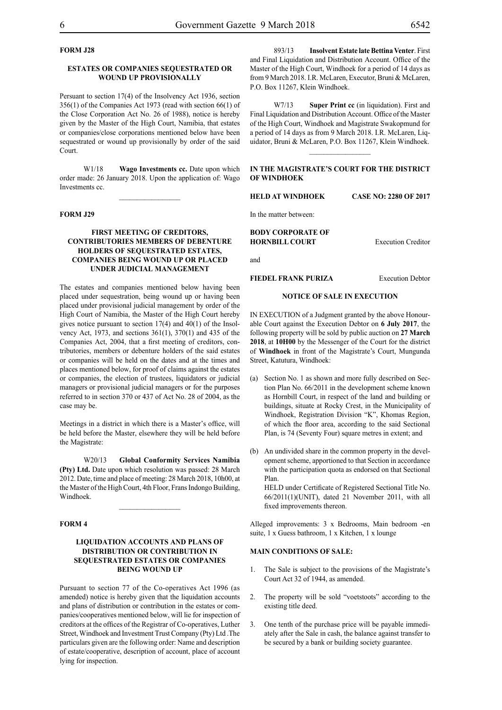# **FORM J28**

#### **ESTATES OR COMPANIES SEQUESTRATED OR WOUND UP PROVISIONALLY**

Persuant to section 17(4) of the Insolvency Act 1936, section 356(1) of the Companies Act 1973 (read with section 66(1) of the Close Corporation Act No. 26 of 1988), notice is hereby given by the Master of the High Court, Namibia, that estates or companies/close corporations mentioned below have been sequestrated or wound up provisionally by order of the said Court.

W1/18 **Wago Investments cc.** Date upon which order made: 26 January 2018. Upon the application of: Wago Investments cc.

 $\frac{1}{2}$ 

#### **FORM J29**

# **FIRST MEETING OF CREDITORS, CONTRIBUTORIES MEMBERS OF DEBENTURE HOLDERS OF SEQUESTRATED ESTATES, COMPANIES BEING WOUND UP OR PLACED UNDER JUDICIAL MANAGEMENT**

The estates and companies mentioned below having been placed under sequestration, being wound up or having been placed under provisional judicial management by order of the High Court of Namibia, the Master of the High Court hereby gives notice pursuant to section 17(4) and 40(1) of the Insolvency Act, 1973, and sections 361(1), 370(1) and 435 of the Companies Act, 2004, that a first meeting of creditors, contributories, members or debenture holders of the said estates or companies will be held on the dates and at the times and places mentioned below, for proof of claims against the estates or companies, the election of trustees, liquidators or judicial managers or provisional judicial managers or for the purposes referred to in section 370 or 437 of Act No. 28 of 2004, as the case may be.

Meetings in a district in which there is a Master's office, will be held before the Master, elsewhere they will be held before the Magistrate:

W20/13 **Global Conformity Services Namibia (Pty) Ltd.** Date upon which resolution was passed: 28 March 2012. Date, time and place of meeting: 28 March 2018, 10h00, at the Master of the High Court, 4th Floor, Frans Indongo Building, Windhoek.

 $\frac{1}{2}$ 

# **FORM 4**

# **LIQUIDATION ACCOUNTS AND PLANS OF DISTRIBUTION OR CONTRIBUTION IN SEQUESTRATED ESTATES OR COMPANIES BEING WOUND UP**

Pursuant to section 77 of the Co-operatives Act 1996 (as amended) notice is hereby given that the liquidation accounts and plans of distribution or contribution in the estates or companies/cooperatives mentioned below, will lie for inspection of creditors at the offices of the Registrar of Co-operatives, Luther Street, Windhoek and Investment Trust Company (Pty) Ltd .The particulars given are the following order: Name and description of estate/cooperative, description of account, place of account lying for inspection.

893/13 **Insolvent Estate late Bettina Venter**. First and Final Liquidation and Distribution Account. Office of the Master of the High Court, Windhoek for a period of 14 days as from 9 March 2018. I.R. McLaren, Executor, Bruni & McLaren, P.O. Box 11267, Klein Windhoek.

W7/13 **Super Print cc** (in liquidation). First and Final Liquidation and Distribution Account. Office of the Master of the High Court, Windhoek and Magistrate Swakopmund for a period of 14 days as from 9 March 2018. I.R. McLaren, Liquidator, Bruni & McLaren, P.O. Box 11267, Klein Windhoek.

# **IN THE MAGISTRATE'S COURT FOR THE DISTRICT OF WINDHOEK**

 $\frac{1}{2}$ 

#### **HELD AT WINDHOEK CASE NO: 2280 OF 2017**

In the matter between:

**BODY CORPORATE OF HORNBILL COURT** Execution Creditor

and

# **FIEDEL FRANK PURIZA** Execution Debtor

#### **NOTICE OF SALE IN EXECUTION**

IN EXECUTION of a Judgment granted by the above Honourable Court against the Execution Debtor on **6 July 2017**, the following property will be sold by public auction on **27 March 2018**, at **10H00** by the Messenger of the Court for the district of **Windhoek** in front of the Magistrate's Court, Mungunda Street, Katutura, Windhoek:

- (a) Section No. 1 as shown and more fully described on Section Plan No. 66/2011 in the development scheme known as Hornbill Court, in respect of the land and building or buildings, situate at Rocky Crest, in the Municipality of Windhoek, Registration Division "K", Khomas Region, of which the floor area, according to the said Sectional Plan, is 74 (Seventy Four) square metres in extent; and
- (b) An undivided share in the common property in the development scheme, apportioned to that Section in accordance with the participation quota as endorsed on that Sectional Plan.

HELD under Certificate of Registered Sectional Title No. 66/2011(1)(UNIT), dated 21 November 2011, with all fixed improvements thereon.

Alleged improvements: 3 x Bedrooms, Main bedroom -en suite, 1 x Guess bathroom, 1 x Kitchen, 1 x lounge

# **MAIN CONDITIONS OF SALE:**

- 1. The Sale is subject to the provisions of the Magistrate's Court Act 32 of 1944, as amended.
- 2. The property will be sold "voetstoots" according to the existing title deed.
- 3. One tenth of the purchase price will be payable immediately after the Sale in cash, the balance against transfer to be secured by a bank or building society guarantee.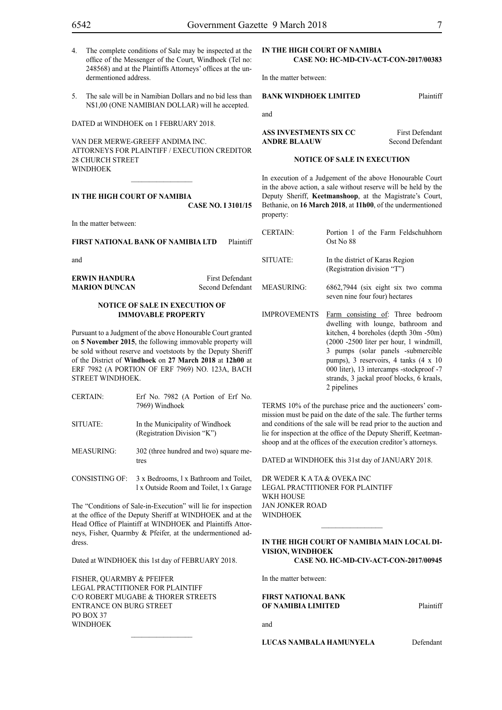- 
- 4. The complete conditions of Sale may be inspected at the office of the Messenger of the Court, Windhoek (Tel no: 248568) and at the Plaintiffs Attorneys' offices at the undermentioned address.
- 5. The sale will be in Namibian Dollars and no bid less than N\$1,00 (ONE NAMIBIAN DOLLAR) will he accepted.

DATED at WINDHOEK on 1 FEBRUARY 2018.

VAN DER MERWE-GREEFF ANDIMA INC. ATTORNEYS FOR Plaintiff / Execution Creditor 28 CHURCH STREET WINDHOEK

**IN THE HIGH COURT OF NAMIBIA**

**CASE No. I 3101/15**

In the matter between:

**FIRST NATIONAL BANK OF NAMIBIA LTD** Plaintiff

and

**ERWIN HANDURA** First Defendant **MARION DUNCAN** Second Defendant

# **NOTICE OF SALE IN EXECUTION OF IMMOVABLE PROPERTY**

Pursuant to a Judgment of the above Honourable Court granted on **5 November 2015**, the following immovable property will be sold without reserve and voetstoots by the Deputy Sheriff of the District of **Windhoek** on **27 March 2018** at **12h00** at ERF 7982 (A PORTION OF ERF 7969) NO. 123A, BACH STREET WINDHOEK.

| <b>CERTAIN:</b> | Erf No. 7982 (A Portion of Erf No.<br>7969) Windhoek           |
|-----------------|----------------------------------------------------------------|
| SITUATE:        | In the Municipality of Windhoek<br>(Registration Division "K") |
| MEASURING:      | 302 (three hundred and two) square me-<br>tres                 |

CONSISTING OF: 3 x Bedrooms, l x Bathroom and Toilet, l x Outside Room and Toilet, l x Garage

The "Conditions of Sale-in-Execution" will lie for inspection at the office of the Deputy Sheriff at WINDHOEK and at the Head Office of Plaintiff at WINDHOEK and Plaintiffs Attorneys, Fisher, Quarmby & Pfeifer, at the undermentioned address.

Dated at WINDHOEK this 1st day of FEBRUARY 2018.

 $\frac{1}{2}$ 

FISHER, QUARMBY & PFEIFER LEGAL PRACTITIONER FOR Plaintiff c/o Robert Mugabe & Thorer Streets entrance on Burg Street PO BOX 37 WINDHOEK

# **IN THE HIGH COURT OF NAMIBIA CASE NO: HC-MD-CIV-ACT-CON-2017/00383**

In the matter between:

# **BANK WINDHOEK LIMITED** Plaintiff

and

**ASS INVESTMENTS SIX CC** First Defendant **ANDRE BLAAUW** Second Defendant

#### **NOTICE OF SALE IN EXECUTION**

In execution of a Judgement of the above Honourable Court in the above action, a sale without reserve will be held by the Deputy Sheriff, **Keetmanshoop**, at the Magistrate's Court, Bethanie, on **16 March 2018**, at **11h00**, of the undermentioned property:

| <b>CERTAIN:</b>     | Portion 1 of the Farm Feldschuhhorn<br>Ost No 88                                                                                                                                                                                                                                                                                                               |
|---------------------|----------------------------------------------------------------------------------------------------------------------------------------------------------------------------------------------------------------------------------------------------------------------------------------------------------------------------------------------------------------|
| SITUATE:            | In the district of Karas Region<br>(Registration division "T")                                                                                                                                                                                                                                                                                                 |
| <b>MEASURING:</b>   | 6862,7944 (six eight six two comma<br>seven nine four four) hectares                                                                                                                                                                                                                                                                                           |
| <b>IMPROVEMENTS</b> | Farm consisting of: Three bedroom<br>dwelling with lounge, bathroom and<br>kitchen, 4 boreholes (depth 30m -50m)<br>$(2000 - 2500)$ liter per hour, 1 windmill,<br>3 pumps (solar panels -submercible<br>pumps), 3 reservoirs, 4 tanks $(4 \times 10)$<br>000 liter), 13 intercamps -stockproof -7<br>strands, 3 jackal proof blocks, 6 kraals,<br>2 pipelines |

TERMS 10% of the purchase price and the auctioneers' commission must be paid on the date of the sale. The further terms and conditions of the sale will be read prior to the auction and lie for inspection at the office of the Deputy Sheriff, Keetmanshoop and at the offices of the execution creditor's attorneys.

DATED at WINDHOEK this 31st day of JANUARY 2018.

DR WEDER K A TA & OVEKA INC Legal Practitioner for Plaintiff WKH HOUSE Jan Jonker Road WINDHOEK

## **IN THE HIGH COURT OF NAMIBIA MAIN LOCAL DI-VISION, WINDHOEK Case No. HC-MD-CIV-ACT-CON-2017/00945**

 $\frac{1}{2}$ 

In the matter between:

# **FIRST NATIONAL BANK OF NAMIBIA LIMITED** Plaintiff

and

**LUCAS NAMBALA HAMUNYELA** Defendant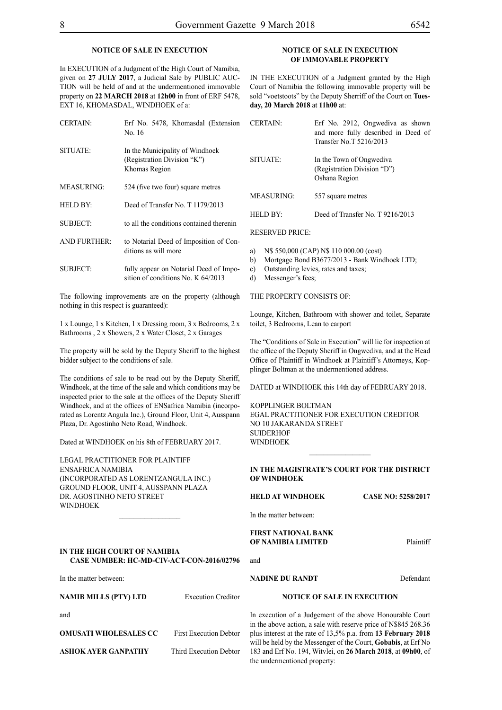# **NOTICE OF SALE IN EXECUTION**

In EXECUTION of a Judgment of the High Court of Namibia, given on **27 JULY 2017**, a Judicial Sale by PUBLIC AUC-TION will be held of and at the undermentioned immovable property on **22 MARCH 2018** at **12h00** in front of ERF 5478, EXT 16, KHOMASDAL, WINDHOEK of a:

| <b>CERTAIN:</b>     | Erf No. 5478, Khomasdal (Extension<br>No. 16                                    |
|---------------------|---------------------------------------------------------------------------------|
| SITUATE:            | In the Municipality of Windhoek<br>(Registration Division "K")<br>Khomas Region |
| <b>MEASURING:</b>   | 524 (five two four) square metres                                               |
| HELD BY:            | Deed of Transfer No. T 1179/2013                                                |
| SUBJECT:            | to all the conditions contained therenin                                        |
| <b>AND FURTHER:</b> | to Notarial Deed of Imposition of Con-<br>ditions as will more                  |
| <b>SUBJECT:</b>     | fully appear on Notarial Deed of Impo-<br>sition of conditions No. K 64/2013    |

The following improvements are on the property (although nothing in this respect is guaranteed):

1 x Lounge, 1 x Kitchen, 1 x Dressing room, 3 x Bedrooms, 2 x Bathrooms , 2 x Showers, 2 x Water Closet, 2 x Garages

The property will be sold by the Deputy Sheriff to the highest bidder subject to the conditions of sale.

The conditions of sale to be read out by the Deputy Sheriff, Windhoek, at the time of the sale and which conditions may be inspected prior to the sale at the offices of the Deputy Sheriff Windhoek, and at the offices of ENSafrica Namibia (incorporated as Lorentz Angula Inc.), Ground Floor, Unit 4, Ausspann Plaza, Dr. Agostinho Neto Road, Windhoek.

Dated at WINDHOEK on his 8th of FEBRUARY 2017.

Legal Practitioner for Plaintiff ENSafrica Namibia (incorporated as LorentzAngula Inc.) Ground Floor, Unit 4, Ausspann Plaza Dr. Agostinho Neto Street **WINDHOEK** 

#### **IN THE HIGH COURT OF NAMIBIA CASE NUMBER: HC-MD-CIV-ACT-CON-2016/02796**

 $\frac{1}{2}$ 

In the matter between:

**NAMIB MILLS (PTY) LTD** Execution Creditor

and

**OMUSATI WHOLESALES CC** First Execution Debtor **ASHOK AYER GANPATHY** Third Execution Debtor

# **NOTICE OF SALE IN EXECUTION OF IMMOVABLE PROPERTY**

IN THE EXECUTION of a Judgment granted by the High Court of Namibia the following immovable property will be sold "voetstoots" by the Deputy Sherriff of the Court on **Tuesday, 20 March 2018** at **11h00** at:

| <b>CERTAIN</b> | Erf No. 2912, Ongwediya as shown<br>and more fully described in Deed of<br>Transfer No. T 5216/2013 |
|----------------|-----------------------------------------------------------------------------------------------------|
| SITUATE:       | In the Town of Ongwediva<br>(Registration Division "D")<br>Oshana Region                            |
| MEASURING:     | 557 square metres                                                                                   |
| HELD BY·       | Deed of Transfer No. T 9216/2013                                                                    |
|                |                                                                                                     |

RESERVED PRICE:

- a) N\$ 550,000 (CAP) N\$ 110 000.00 (cost)
- b) Mortgage Bond B3677/2013 Bank Windhoek LTD;
- c) Outstanding levies, rates and taxes;
- d) Messenger's fees;

THE PROPERTY CONSISTS OF:

Lounge, Kitchen, Bathroom with shower and toilet, Separate toilet, 3 Bedrooms, Lean to carport

The "Conditions of Sale in Execution" will lie for inspection at the office of the Deputy Sheriff in Ongwediva, and at the Head Office of Plaintiff in Windhoek at Plaintiff's Attorneys, Kopplinger Boltman at the undermentioned address.

DATED at WINDHOEK this 14th day of FEBRUARY 2018.

KOPPLINGER BOLTMAN EGAL PRACTITIONER FOR Execution Creditor NO 10 JAKARANDA STREET **SUIDERHOF WINDHOEK** 

# **IN THE MAGISTRATE'S COURT FOR THE DISTRICT OF WINDHOEK**

**HELD AT WINDHOEK CASE NO: 5258/2017**

In the matter between:

and

# **FIRST NATIONAL BANK OF NAMIBIA LIMITED** Plaintiff

# **NADINE DU RANDT** Defendant

# **NOTICE OF SALE IN EXECUTION**

In execution of a Judgement of the above Honourable Court in the above action, a sale with reserve price of N\$845 268.36 plus interest at the rate of 13,5% p.a. from **13 February 2018**  will be held by the Messenger of the Court, **Gobabis**, at Erf No 183 and Erf No. 194, Witvlei, on **26 March 2018**, at **09h00**, of the undermentioned property: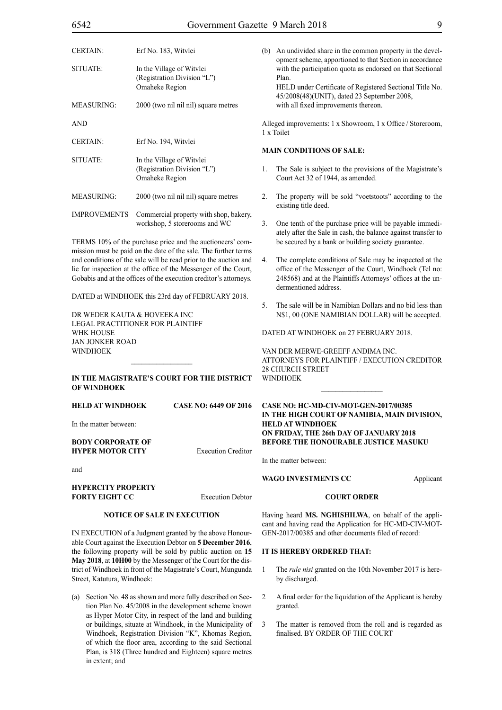| <b>CERTAIN:</b>     | Erf No. 183, Witvlei                                                       |        |
|---------------------|----------------------------------------------------------------------------|--------|
| SITUATE:            | In the Village of Witvlei<br>(Registration Division "L")<br>Omaheke Region |        |
| <b>MEASURING:</b>   | 2000 (two nil nil nil) square metres                                       |        |
| <b>AND</b>          |                                                                            |        |
| <b>CERTAIN:</b>     | Erf No. 194, Witvlei                                                       |        |
| SITUATE:            | In the Village of Witvlei<br>(Registration Division "L")<br>Omaheke Region | ľ<br>1 |
| <b>MEASURING:</b>   | 2000 (two nil nil nil) square metres                                       | 2      |
| <b>IMPROVEMENTS</b> | Commercial property with shop, bakery,<br>workshop, 5 storerooms and WC    |        |
|                     |                                                                            |        |

TERMS 10% of the purchase price and the auctioneers' commission must be paid on the date of the sale. The further terms and conditions of the sale will be read prior to the auction and lie for inspection at the office of the Messenger of the Court, Gobabis and at the offices of the execution creditor's attorneys.

DATED at WINDHOEK this 23rd day of FEBRUARY 2018.

DR WEDER KAUTA & HOVEEKA INC Legal Practitioner for Plaintiff WHK HOUSE Jan Jonker Road **WINDHOEK** 

# **IN THE MAGISTRATE'S COURT FOR THE DISTRICT OF WINDHOEK**

# **HELD AT WINDHOEK CASE NO: 6449 OF 2016**

In the matter between:

# **BODY CORPORATE OF HYPER MOTOR CITY** Execution Creditor

and

#### **HYPERCITY PROPERTY FORTY EIGHT CC** Execution Debtor

# **NOTICE OF SALE IN EXECUTION**

IN EXECUTION of a Judgment granted by the above Honourable Court against the Execution Debtor on **5 December 2016**, the following property will be sold by public auction on **15 May 2018**, at **10H00** by the Messenger of the Court for the district of Windhoek in front of the Magistrate's Court, Mungunda Street, Katutura, Windhoek:

(a) Section No. 48 as shown and more fully described on Section Plan No. 45/2008 in the development scheme known as Hyper Motor City, in respect of the land and building or buildings, situate at Windhoek, in the Municipality of Windhoek, Registration Division "K", Khomas Region, of which the floor area, according to the said Sectional Plan, is 318 (Three hundred and Eighteen) square metres in extent; and

(b) An undivided share in the common property in the development scheme, apportioned to that Section in accordance with the participation quota as endorsed on that Sectional Plan. HELD under Certificate of Registered Sectional Title No. 45/2008(48)(UNIT), dated 23 September 2008,

Alleged improvements: 1 x Showroom, 1 x Office / Storeroom, x Toilet

#### **MAIN CONDITIONS OF SALE:**

with all fixed improvements thereon.

- The Sale is subject to the provisions of the Magistrate's Court Act 32 of 1944, as amended.
- 2. The property will be sold "voetstoots" according to the existing title deed.
- One tenth of the purchase price will be payable immediately after the Sale in cash, the balance against transfer to be secured by a bank or building society guarantee.
- The complete conditions of Sale may be inspected at the office of the Messenger of the Court, Windhoek (Tel no: 248568) and at the Plaintiffs Attorneys' offices at the undermentioned address.
- 5. The sale will be in Namibian Dollars and no bid less than N\$1, 00 (ONE NAMIBIAN DOLLAR) will be accepted.

DATED AT WINDHOEK on 27 FEBRUARY 2018.

VAN DER MERWE-GREEFF ANDIMA INC. ATTORNEYS FOR Plaintiff / Execution Creditor 28 CHURCH STREET WINDHOEK

 $\frac{1}{2}$ 

# **case no: HC-MD-CIV-MOT-GEN-2017/00385 IN THE HIGH COURT OF NAMIBIA, MAIN DIVISION, HELD AT WINDHOEK ON FRIDAY, THE 26th DAY OF JANUARY 2018 BEFORE THE HONOURABLE JUSTICE MASUKU**

In the matter between:

# **WAGO INVESTMENTS CC** Applicant

# **COURT ORDER**

Having heard **MS. NGHISHILWA**, on behalf of the applicant and having read the Application for HC-MD-CIV-MOT-GEN-2017/00385 and other documents filed of record:

# **IT IS HEREBY ORDERED THAT:**

- 1 The *rule nisi* granted on the 10th November 2017 is hereby discharged.
- 2 A final order for the liquidation of the Applicant is hereby granted.
- 3 The matter is removed from the roll and is regarded as finalised. BY ORDER OF THE COURT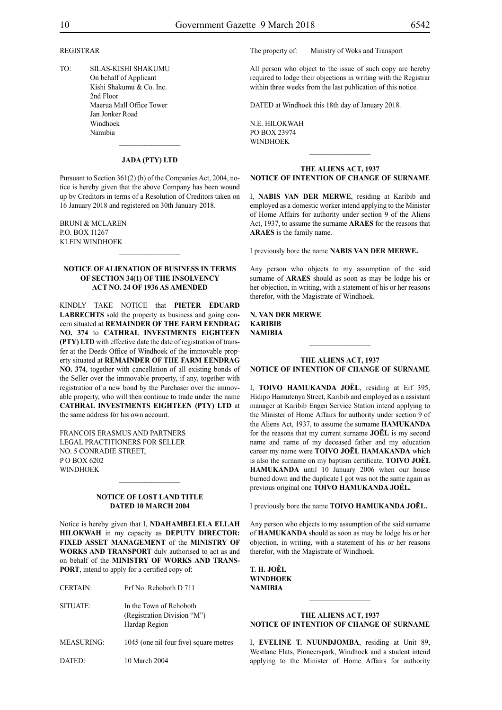# REGISTRAR

TO: SILAS-KISHI SHAKUMU On behalf of Applicant Kishi Shakumu & Co. Inc. 2nd Floor Maerua Mall Office Tower Jan Jonker Road Windhoek Namibia

# **JADA (PTY) LTD**

 $\frac{1}{2}$ 

Pursuant to Section 361(2) (b) of the Companies Act, 2004, notice is hereby given that the above Company has been wound up by Creditors in terms of a Resolution of Creditors taken on 16 January 2018 and registered on 30th January 2018.

BRUNI & McLAREN P.O. Box 11267 KLEIN WINDHOEK

# **NOTICE OF ALIENATION OF BUSINESS IN TERMS OF SECTION 34(1) OF THE INSOLVENCY ACT NO. 24 OF 1936 AS AMENDED**

 $\frac{1}{2}$ 

KINDLY TAKE NOTICE that **PIETER EDUARD LABRECHTS** sold the property as business and going concern situated at **REMAINDER OF THE FARM EENDRAG NO. 374** to **CATHRAL INVESTMENTS EIGHTEEN (PTY) LTD** with effective date the date of registration of transfer at the Deeds Office of Windhoek of the immovable property situated at **REMAINDER OF THE FARM EENDRAG NO. 374**, together with cancellation of all existing bonds of the Seller over the immovable property, if any, together with registration of a new bond by the Purchaser over the immovable property, who will then continue to trade under the name **CATHRAL INVESTMENTS EIGHTEEN (PTY) LTD** at the same address for his own account.

FRANCOIS ERASMUS AND PARTNERS LEGAL PRACTITIONERS FOR SELLER NO. 5 CONRADIE STREET, P O BOX 6202 **WINDHOFK** 

#### **NOTICE OF LOST LAND TITLE DATED 10 MARCH 2004**

 $\frac{1}{2}$ 

Notice is hereby given that I, **NDAHAMBELELA ELLAH HILOKWAH** in my capacity as **DEPUTY DIRECTOR: FIXED ASSET MANAGEMENT** of the **MINISTRY OF WORKS AND TRANSPORT** duly authorised to act as and on behalf of the **MINISTRY OF WORKS AND TRANS-PORT**, intend to apply for a certified copy of:

- SITUATE: In the Town of Rehoboth (Registration Division "M") Hardap Region
- MEASURING: 1045 (one nil four five) square metres

DATED: 10 March 2004

The property of: Ministry of Woks and Transport

All person who object to the issue of such copy are hereby required to lodge their objections in writing with the Registrar within three weeks from the last publication of this notice.

DATED at Windhoek this 18th day of January 2018.

N.E. HILOKWAH PO BOX 23974 WINDHOEK

# **THE ALIENS ACT, 1937 NOTICE OF INTENTION OF CHANGE OF SURNAME**

 $\frac{1}{2}$ 

I, **nabis van der merwe**, residing at Karibib and employed as a domestic worker intend applying to the Minister of Home Affairs for authority under section 9 of the Aliens Act, 1937, to assume the surname **araes** for the reasons that **ARAES** is the family name.

I previously bore the name **nabis van der merwe.**

Any person who objects to my assumption of the said surname of **ARAES** should as soon as may be lodge his or her objection, in writing, with a statement of his or her reasons therefor, with the Magistrate of Windhoek.

# **N. van der merwe karibib NAMIBIA**

#### **THE ALIENS ACT, 1937 NOTICE OF INTENTION OF CHANGE OF SURNAME**

 $\frac{1}{2}$ 

I, **toivo hamukanda jOËL**, residing at Erf 395, Hidipo Hamutenya Street, Karibib and employed as a assistant manager at Karibib Engen Service Station intend applying to the Minister of Home Affairs for authority under section 9 of the Aliens Act, 1937, to assume the surname **HAMUKANDA** for the reasons that my current surname **JOËL** is my second name and name of my deceased father and my education career my name were **TOIVO JOËL HAMAKANDA** which is also the surname on my baptism certificate, **TOIVO JOËL HAMUKANDA** until 10 January 2006 when our house burned down and the duplicate I got was not the same again as previous original one **toivo hamukanda jOËL.**

I previously bore the name **toivo hamukanda jOËL.**

Any person who objects to my assumption of the said surname of **hamukanda** should as soon as may be lodge his or her objection, in writing, with a statement of his or her reasons therefor, with the Magistrate of Windhoek.

**t. h. jOËL Windhoek NAMIBIA**

# **THE ALIENS ACT, 1937 NOTICE OF INTENTION OF CHANGE OF SURNAME**

 $\frac{1}{2}$ 

I, **eveline t. nuundjOmba**, residing at Unit 89, Westlane Flats, Pioneerspark, Windhoek and a student intend applying to the Minister of Home Affairs for authority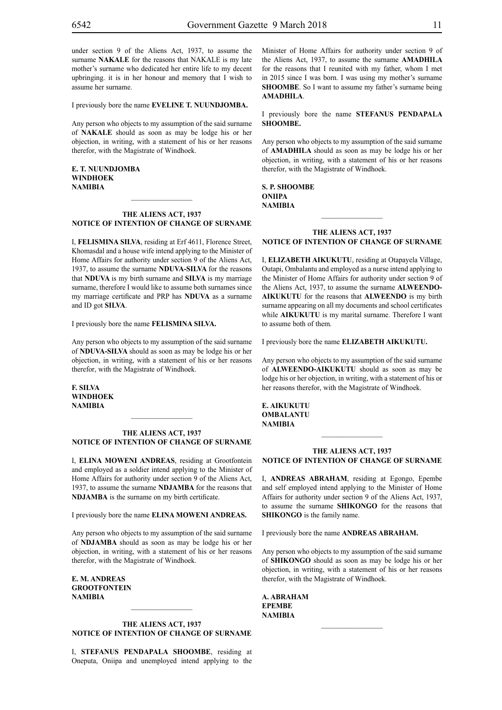under section 9 of the Aliens Act, 1937, to assume the surname **NAKALE** for the reasons that NAKALE is my late mother's surname who dedicated her entire life to my decent upbringing. it is in her honour and memory that I wish to assume her surname.

I previously bore the name **eveline t. nuundjOmba.**

Any person who objects to my assumption of the said surname of **nakale** should as soon as may be lodge his or her objection, in writing, with a statement of his or her reasons therefor, with the Magistrate of Windhoek.

**e. t. nuundjOmba Windhoek NAMIBIA**

# **THE ALIENS ACT, 1937 NOTICE OF INTENTION OF CHANGE OF SURNAME**

 $\frac{1}{2}$ 

I, **felismina silva**, residing at Erf 4611, Florence Street, Khomasdal and a house wife intend applying to the Minister of Home Affairs for authority under section 9 of the Aliens Act, 1937, to assume the surname **NDUVA-SILVA** for the reasons that **NDUVA** is my birth surname and **SILVA** is my marriage surname, therefore I would like to assume both surnames since my marriage certificate and PRP has **NDUVA** as a surname and ID got **silva**.

I previously bore the name **felismina silvA.**

Any person who objects to my assumption of the said surname of **nduva-silva** should as soon as may be lodge his or her objection, in writing, with a statement of his or her reasons therefor, with the Magistrate of Windhoek.

**f. silvA Windhoek NAMIBIA**

# **THE ALIENS ACT, 1937 NOTICE OF INTENTION OF CHANGE OF SURNAME**

 $\frac{1}{2}$ 

I, **elina moweni andreas**, residing at Grootfontein and employed as a soldier intend applying to the Minister of Home Affairs for authority under section 9 of the Aliens Act, 1937, to assume the surname **NDJAMBA** for the reasons that **NDJAMBA** is the surname on my birth certificate.

I previously bore the name **elina moweni andreas.**

Any person who objects to my assumption of the said surname of **NDJAMBA** should as soon as may be lodge his or her objection, in writing, with a statement of his or her reasons therefor, with the Magistrate of Windhoek.

**e. m. andreas grootfontein NAMIBIA**

# **THE ALIENS ACT, 1937 NOTICE OF INTENTION OF CHANGE OF SURNAME**

I, **stefanus penDapalA shoombe**, residing at Oneputa, Oniipa and unemployed intend applying to the Minister of Home Affairs for authority under section 9 of the Aliens Act, 1937, to assume the surname **AMADHILA** for the reasons that I reunited with my father, whom I met in 2015 since I was born. I was using my mother's surname **SHOOMBE**. So I want to assume my father's surname being **AMADHILA**.

I previously bore the name **stefanus penDapalA shoombe.**

Any person who objects to my assumption of the said surname of **AMADHILA** should as soon as may be lodge his or her objection, in writing, with a statement of his or her reasons therefor, with the Magistrate of Windhoek.

**s. p. shoombe oniipa NAMIBIA**

# **THE ALIENS ACT, 1937 NOTICE OF INTENTION OF CHANGE OF SURNAME**

 $\frac{1}{2}$ 

I, **elizabeth aikukutu**, residing at Otapayela Village, Outapi, Ombalantu and employed as a nurse intend applying to the Minister of Home Affairs for authority under section 9 of the Aliens Act, 1937, to assume the surname **ALWEENDOaikukutu** for the reasons that **ALWEENDO** is my birth surname appearing on all my documents and school certificates while **AIKUKUTU** is my marital surname. Therefore I want to assume both of them.

I previously bore the name **elizabeth aikukutu.**

Any person who objects to my assumption of the said surname of **ALWEENDO-AIKUKUTU** should as soon as may be lodge his or her objection, in writing, with a statement of his or her reasons therefor, with the Magistrate of Windhoek.

**e. aikukutu OMBALANTU NAMIBIA**

#### **THE ALIENS ACT, 1937 NOTICE OF INTENTION OF CHANGE OF SURNAME**

 $\frac{1}{2}$ 

I, **andreas abraham**, residing at Egongo, Epembe and self employed intend applying to the Minister of Home Affairs for authority under section 9 of the Aliens Act, 1937, to assume the surname **shikongo** for the reasons that **SHIKONGO** is the family name.

I previously bore the name **ANDREAS ABRAHAM.** 

Any person who objects to my assumption of the said surname of **SHIKONGO** should as soon as may be lodge his or her objection, in writing, with a statement of his or her reasons therefor, with the Magistrate of Windhoek.

**a. abraham epembe NAMIBIA**